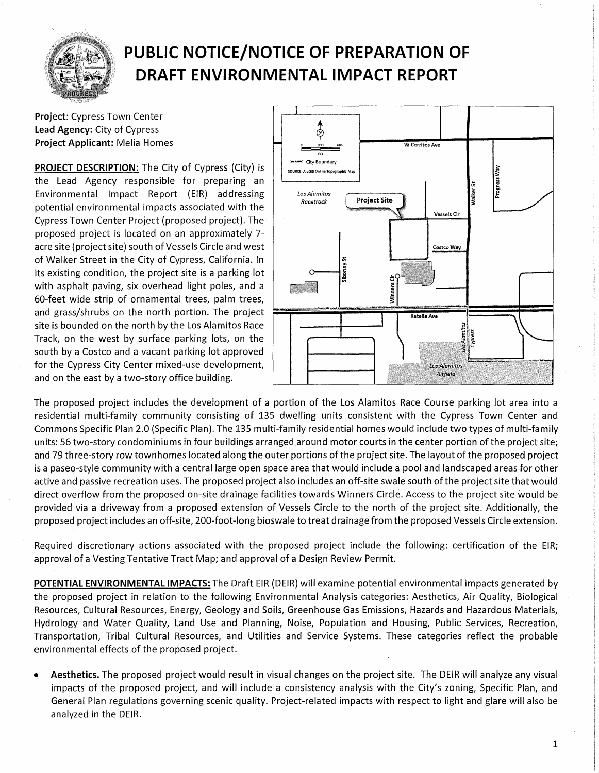

## **PUBLIC NOTICE/NOTICE OF PREPARATION OF DRAFT ENVIRONMENTAL IMPACT REPORT**

**Project:** Cypress Town Center **Lead Agency:** City of Cypress **Project Applicant:** Melia Homes

**PROJECT DESCRIPTION:** The City of Cypress (City} is the Lead Agency responsible for preparing an Environmental Impact Report (EIR} addressing potential environmental impacts associated with the Cypress Town Center Project (proposed project}. The proposed project is located on an approximately 7 acre site (project site} south of Vessels Circle and west of Walker Street in the City of Cypress, California. In its existing condition, the project site is a parking lot with asphalt paving, six overhead light poles, and a 60-feet wide strip of ornamental trees, palm trees, and grass/shrubs on the north portion. The project site is bounded on the north by the Los Alamitos Race Track, on the west by surface parking lots, on the south by a Costco and a vacant parking lot approved for the Cypress City Center mixed-use development, and on the east by a two-story office building.



The proposed project includes the development of a portion of the Los Alamitos Race Course parking lot area into a residential multi-family community consisting of 135 dwelling units consistent with the Cypress Town Center and Commons Specific Plan 2.0 (Specific Plan}. The 135 multi-family residential homes would include two types of multi-family units: 56 two-story condominiums in four buildings arranged around motor courts in the center portion of the project site; and 79 three-story row town homes located along the outer portions of the project site. The layout of the proposed project is a paseo-style community with a central large open space area that would include a pool and landscaped areas for other active and passive recreation uses. The proposed project also includes an off-site swale south of the project site that would direct overflow from the proposed on-site drainage facilities towards Winners Circle. Access to the project site would be provided via a driveway from a proposed extension of Vessels Circle to the north of the project site. Additionally, the proposed project includes ail off-site, 200-foot-long bioswale to treat drainage from the proposed Vessels Circle extension.

Required discretionary actions associated with the proposed project include the following: certification of the EIR; approval of a Vesting Tentative Tract Map; and approval of a Design Review Permit.

**POTENTIAL ENVIRONMENTAL IMPACTS:** The Draft EIR (DEIR} will examine potential environmental impacts generated by the proposed project in relation to the following Environmental Analysis categories: Aesthetics, Air Quality, Biological Resources, Cultural Resources, Energy, Geology and Soils, Greenhouse Gas Emissions, Hazards and Hazardous Materials, Hydrology and Water Quality, Land Use and Planning, Noise, Population and Housing, Public Services, Recreation, Transportation, Tribal Cultural Resources, and Utilities and Service Systems. These categories reflect the probable environmental effects of the proposed project.

• **Aesthetics.** The proposed project would result in visual changes on the project site. The DEIR will analyze any visual impacts of the proposed project, and will include a consistency analysis with the City's zoning, Specific Plan, and General Plan regulations governing scenic quality. Project-related impacts with respect to light and glare will also be analyzed in the DEIR.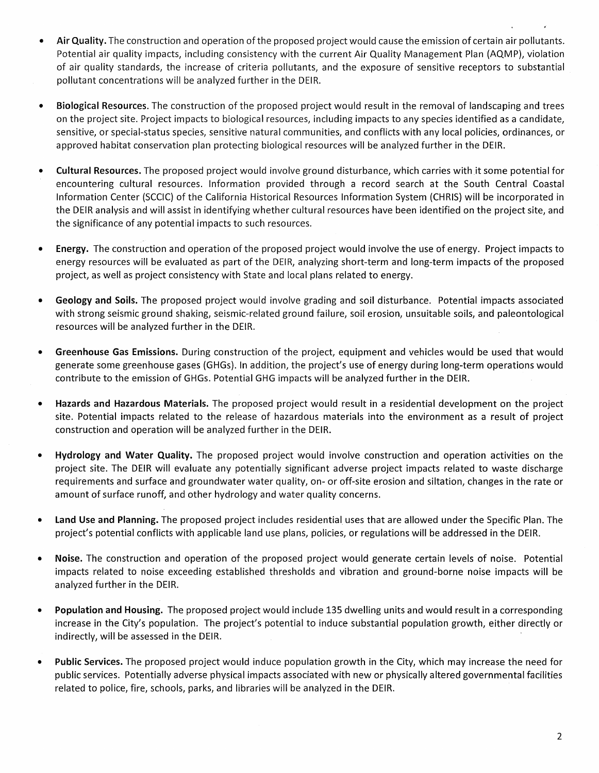- **Air Quality.** The construction and operation of the proposed project would cause the emission of certain air pollutants. Potential air quality impacts, including consistency with the current Air Quality Management Plan (AQMP), violation of air quality standards, the increase of criteria pollutants, and the exposure of sensitive receptors to substantial pollutant concentrations will be analyzed further in the DEIR.
- **Biological Resources.** The construction of the proposed project would result in the removal of landscaping and trees on the project site. Project impacts to biological resources, including impacts to any species identified as a candidate, sensitive, or special-status species, sensitive natural communities, and conflicts with any local policies, ordinances, or approved habitat conservation plan protecting biological resources will be analyzed further in the DEIR.
- **Cultural Resources.** The proposed project would involve ground disturbance, which carries with it some potential for encountering cultural resources. Information provided through a record search at the South Central Coastal Information Center (SCCIC) of the California Historical Resources Information System (CHRIS) will be incorporated in the DEIR analysis and will assist in identifying whether cultural resources have been identified on the project site, and the significance of any potential impacts to such resources.
- **Energy.** The construction and operation of the proposed project would involve the use of energy. Project impacts to energy resources will be evaluated as part of the DEIR, analyzing short-term and long-term impacts of the proposed project, as well as project consistency with State and local plans related to energy.
- **Geology and Soils.** The proposed project would involve grading and soil disturbance. Potential impacts associated with strong seismic ground shaking, seismic-related ground failure, soil erosion, unsuitable soils, and paleontological resources will be analyzed further in the DEIR.
- **Greenhouse Gas Emissions.** During construction of the project, equipment and vehicles would be used that would generate some greenhouse gases (GHGs). In addition, the project's use of energy during long-term operations would contribute to the emission of GHGs. Potential GHG impacts will be analyzed further in the DEIR.
- **Hazards and Hazardous Materials.** The proposed project would result in a residential development on the project site. Potential impacts related to the release of hazardous materials into the environment as a result of project construction and operation will be analyzed further in the DEIR.
- **Hydrology and Water Quality.** The proposed project would involve construction and operation activities on the project site. The DEIR will evaluate any potentially significant adverse project impacts related to waste discharge requirements and surface and groundwater water quality, on- or off-site erosion and siltation, changes in the rate or amount of surface runoff, and other hydrology and water quality concerns.
- **Land Use and Planning.** The proposed project includes residential uses that are allowed under the Specific Plan. The project's potential conflicts with applicable land use plans, policies, or regulations will be addressed in the DEIR.
- **Noise.** The construction and operation of the proposed project would generate certain levels of noise. Potential impacts related to noise exceeding established thresholds and vibration and ground-borne noise impacts will be analyzed further in the DEIR.
- **Population and Housing.** The proposed project would include 135 dwelling units and would result in a corresponding increase in the City's population. The project's potential to induce substantial population growth, either directly or indirectly, will be assessed in the DEIR.
- **Public Services.** The proposed project would induce population growth in the City, which may increase the need for public services. Potentially adverse physical impacts associated with new or physically altered governmental facilities related to police, fire, schools, parks, and libraries will be analyzed in the DEIR.